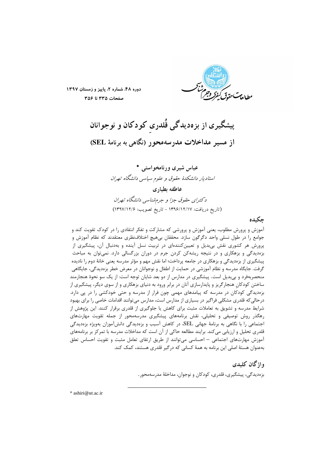

دوره ۴۸، شماره ۲، پاییز و زمستان ۱۳۹۷ صفحات ٣٣٥ تا ٣٥۶

پیشگیری از بزهدیدگی قُلدری کودکان و نوجوانان از مسیر مداخلات مدرسهمحور (نگاهی به برنامهٔ SEL)

عباس شيري ورنامخواستي \* استادیار دانشکدهٔ حقوق و علوم سیاسی دانشگاه تهران عاطفه بطبادي دکترای حقوق جزا و جرمشناسی دانشگاه تهران (تاريخ دريافت: ١٣٩۶/١٢/١٧ - تاريخ تصويب: ١٣٩٧/١٢/٤)

حكىدە

آموزش و پرورش مطلوب، یعنی آموزش و پرورشی که مشارکت و تفکر انتقادی را در کودک تقویت کند و جوامع را در طول نسلی واحد دگرگون سازد. محققان بیهیچ اختلافنظری معتقدند که نظام آموزش و پرورش هر کشوری نقش بیبدیل و تعیینکنندهای در تربیت نسل آینده و بهدنبال آن، پیشگیری از بزهدیدگی و بزهکاری و در نتیجه ریشهکن کردن جرم در دوران بزرگسالی دارد. نمیتوان به مباحث پیشگیری از بزهدیدگی و بزهکاری در جامعه پرداخت؛ اما نقش مهم و مؤثر مدرسه یعنی خانهٔ دوم را نادیده گرفت. جايگاه مدرسه و نظام آموزشي در حمايت از اطفال و نوجوانان در معرض خطر بزهديدگي، جايگاهي منحصربهفرد و بی بدیل است. پیشگیری در مدارس از دو بعد شایان توجه است: از یک سو نحوهٔ هنجارمند ساختن کودکان هنجارگریز و پایدارسازی آنان در برابر ورود به دنیای بزهکاری و از سوی دیگر، پیشگیری از بزهدیدگی کودکان در مدرسه که پیامدهای مهمی چون فرار از مدرسه و حتی خودکشی را در پی دارد. درحالی که قلدری مشکلی فراگیر در بسیاری از مدارس است، مدارس می توانند اقدامات خاصی را برای بهبود شرایط مدرسه و تشویق به تعاملات مثبت برای کاهش یا جلوگیری از قلدری برقرار کنند. این پژوهش از رهگذر روش توصیفی و تحلیلی، نقش برنامههای پیشگیری مدرسهمحور از جمله تقویت مهارتهای اجتماعی را با نگاهی به برنامهٔ جهانی SEL، در کاهش آسیب و بزهدیدگی دانشآموزان بهویژه بزهدیدگی قلدری تحلیل و ارزیابی میکند. برایند مطالعه حاکی از آن است که مداخلات مدرسه با تمرکز بر برنامههای آموزش مهارتهای اجتماعی – احساسی می توانند از طریق ارتقای تعامل مثبت و تقویت احساس تعلق بهعنوان هستهٔ اصلی این برنامه به همهٔ کسانی که در گیر قلدری هستند، کمک کند.

> واژگان کلیدی بزەديدگى، پيشگيرى، قلدرى، كودكان و نوجوان، مداخلهٔ مدرسەمحور.

\* ashiri@ut.ac.ir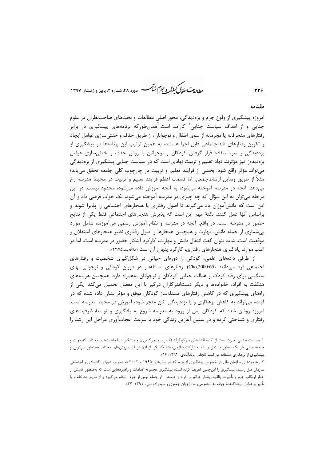طابع تحقوق كنفركه وجرم شيحم دوره ۴۸، شماره ۲، بابیز و زمستان ۱۳۹۷

### مقدمه

امروزه پیشگیری از وقوع جرم و بزهدیدگی، محور اصلی مطالعات و بحثهای صاحب نظران در علوم جنایی و از اهداف سیاست جنایی<sup>۱</sup> کارامد است.<sup>۲</sup>همانطورکه برنامههای پیشگیری در برابر رفتارهای منحرفانه یا مجرمانه از سوی اطفال و نوجوانان، از طریق حذف و خنثی سازی عوامل ایجاد و تکوین رفتارهای ضداجتماعی قابل اجرا هستند، به همین ترتیب این برنامهها در پیشگیری از بزهدیدگی و سوءاستفاده قرار گرفتن کودکان و نوجوانان با روش حذف و خنثی سازی عوامل بزەديدەزا نيز مؤثرند. نهاد تعليم و تربيت نهادى است كه در سياست جنايي پيشگيرى از بزەديدگى می تواند مؤثر واقع شود. بخشی از فرایند تعلیم و تربیت در چارچوب کلی جامعه تحقق می یابد؛ مثلاً از طريق وسايل ارتباطجمعي، اما قسمت اعظم فرايند تعليم و تربيت در محيط مدرسه رخ میدهد. آنچه در مدرسه آموخته میشود، به آنچه آموزش داده میشود، محدود نیست. در این مرحله میتوان به این سؤال که چه چیزی در مدرسه آموخته میشود، یک جواب فرضی داد و آن این است که دانشآموزان یاد میگیرند تا اصول رفتاری یا هنجارهای اجتماعی را پذیرا شوند و براساس آنها عمل کنند. نکتهٔ مهم این است که پذیرش هنجارهای اجتماعی فقط یکی از نتایج حضور در مدرسه است. در واقع، آنچه در مدرسه و نظام آموزش رسمی میآموزند، شامل موارد بیشماری از جمله دانش، مهارت و همچنین هنجارها و اصول رفتاری نظیر هنجارهای استقلال و موفقیت است. شاید بتوان گفت انتقال دانش و مهارت، کارکرد آشکار حضور در مدرسه است، اما در اغلب موارد، یادگیری هنجارهای رفتاری، کارکرد پنهان آن است (ءلاقهبند،۴۲:۷۵).

از طرفی دادههای علمی، کودکی را دورهای حیاتی در شکل گیری شخصیت و رفتارهای اجتماعی فرد میدانند (Cho,2000:65). رفتارهای مسئلهدار در دوران کودکی و نوجوانی بهای سنگینی برای رفاه کودک و عدالت جنایی کودکان و نوجوانان بههمراه دارد. همچنین هزینههای هنگفت به افراد، خانوادهها و دیگر دستاندرکاران درگیر با این معضل تحمیل میکند. یکی از راههای پیشگیری که در کاهش رفتارهای مسئلهساز کودکان موفق و مؤثر نشان داده شده که در آینده میتواند به کاهش بزهکاری و یا بزهدیدگی آنان منجر شود، آموزش در محیط مدرسه است. امروزه روشن شده که کودکان پس از ورود به مدرسه شروع به یادگیری و توسعهٔ ظرفیتهای رفتاری و شناختی کرده و در سنین آغازین زندگی خود با سرعت اعجابآوری مراحل این رشد را

١. سياست جنايي عبارت است از: كليهٔ اقدامهاي سركوبگرانه (كيفري و غيركيفري) و پيشگيرانه با ماهيتهاي مختلف كه دولت و .<br>جامعهٔ مدنی هر یک بهطور مستقل و یا با مشارکت سازمان ِافتهٔ یکدیگر، از آنها در قالب روشهای مختلف بهمنظور سرکوبی و پیشگیری از بزهکاری استفاده میکنند (نجفی ابرندآبادی، ۱۳۹۴: ۱۶).

۲. رهنمودهای سازمان ملل در خصوص پیشگیری از جرم که در سالهای ۱۹۹۵ و ۲۰۰۲ به تصویب شورای اقتصادی و اجتماعی سازمان ملل رسید، پیشگیری را اینچنین تعریف کرده است: پیشگیری مجموعه اقدامات و راهبردهایی است که بهمنظور کاستن از خطر ارتکاب جرم و تأثیرات بالقوه زیانبار جرائم بر افراد و جامعه – از جمله ترس از جرم- انجام میگیرد و از طریق مداخله و یا تأثیر بر عوامل ایجادکنندهٔ جرائم به انجام میرسد (جوان جعفری و سیدزاده ثانی، ۱۳۹۱: ۳۲).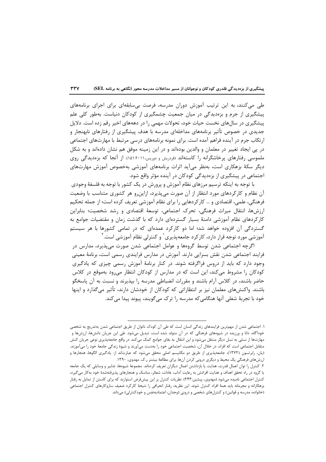طی میکنند، به این ترتیب آموزش دوران مدرسه، فرصت بی سابقهای برای اجرای برنامههای پیشگیری از جرم و بزهدیدگی در میان جمعیت چشمگیری از کودکان دنیاست. بهطور کلی علم پیشگیری در سالهای نخست حیات خود، تحولات مهمی را در دهههای اخیر رقم زده است. دلایل جدیدی در خصوص تأثیر برنامههای مداخلهای مدرسه با هدف پیشگیری از رفتارهای نابهنجار و ارتکاب جرم در آینده فراهم آمده است. برای نمونه برنامههای درسی مرتبط با مهارتهای اجتماعی در یی ایجاد تغییر در معلمان و والدین بودهاند و در این زمینه موفق هم نشان دادهاند و به شکل ملموسی رفتارهای پرخاشگرانه را کاستهاند (فردریش و دوریس،۲۰۱۱،۱۵۱۱). از آنجا که بزهدیدگی روی دیگر سکهٔ بزهکاری است، بهنظر می آید اثرات برنامههای آموزشی بهخصوص آموزش مهارتهای اجتماعی در پیشگیری از بزهدیدگی کودکان در آینده مؤثر واقع شود.

با توجه به اینکه ترسیم مرزهای نظام آموزش و پرورش در یک کشور با توجه به فلسفهٔ وجودی آن نظام و کارکردهای مورد انتظار از آن صورت می پذیرد، ازاین و هر کشوری متناسب با وضعیت فرهنگی، علمی، اقتصادی و … کارکردهایی را برای نظام آموزشی تعریف کرده است؛ از جمله تحکیم ارزشها، انتقال میراث فرهنگی، تحرک اجتماعی، توسعهٔ اقتصادی و رشد شخصیت؛ بنابراین کارکردهای نظام آموزشی دامنهٔ بسیار گستردهای دارد که با گذشت زمان و مقتضیات جوامع به گستردگی آن افزوده خواهد شد؛ اما دو کارکرد عمدهای که در تمامی کشورها با هر سیستم آموزشی مورد توجه قرار دارد، کارکرد جامعهپذیری ٰ و کنترلی نظام آموزشی است. ٰ

اگرچه اجتماعی شدن توسط گروهها و عوامل اجتماعی شدن صورت میپذیرد، مدارس در فرایند اجتماعی شدن نقش بسزایی دارند. آموزش در مدارس فرایندی رسمی است، برنامهٔ معینی وجود دارد که باید از دروس فراگرفته شوند. در کنار برنامهٔ آموزش رسمی چیزی که یادگیری کودکان را مشروط می کند، این است که در مدارس از کودکان انتظار می رود بهموقع در کلاس حاضر باشند، در کلاس آرام باشند و مقررات انضباطی مدرسه را بپذیرند و نسبت به آن پاسخگو باشند. واکنشهای معلمان نیز بر انتظاراتی که کودکان از خودشان دارند، تأثیر میگذارد و اینها خود با تجربهٔ شغلی آنها هنگامی که مدرسه ٫ا ترک می گویند، پیوند پیدا می کند.

۱. اجتماعی شدن از مهم ترین فرایندهای زندگی انسان است که طی آن کودک ناتوان از طریق اجتماعی شدن بهتدریج به شخصی خودآگاه، دانا و ورزیده در شیوههای فرهنگی که در آن متولد شده است، تبدیل میشود. طی این جریان دانشها، ارزشها و مهارتها از نسلی به نسل دیگر منتقل میشود و این انتقال به بقای جوامع کمک میکند. در واقع جامعهپذیری نوعی جریان کنش متقابل اجتماعي است كه افراد، در خلال آن، شخصيت اجتماعي خود را بهدست ميآورند و شيوهٔ زندگي جامعهٔ خود را ميآموزند. (یان، رابرتسون (۱۳۷۲)، جامعهپذیری از طریق دو مکانیسم اصلی محقق میشود که عبارتاند از: یادگیری الگوها، هنجارها و ارزشهای فرهنگی یک محیط و دیگری درونی کردن آنها. برای مطالعهٔ بیشتر ر.ک. مهدوی، ۱۳۹۰.

۲. کنترل را توان اعمال قدرت، هدایت یا بازداشتن اعمال دیگران تعریف کردهاند. مجموعهٔ شیوهها، تدابیر و وسایلی که یک جامعه یا گروه در راه تحقق اهداف و هدایت افرادش به رعایت آداب، عادات، شعائر، مناسک و هنجارهای پذیرفتهشدهٔ خود بهکار میگیرد، کنترل اجتماعی نامیده میشود (مهدوی، پیشین:۲۴۳). نظریات کنترل بر این پیشفرض استوارند که برای کاستن از تمایل به رفتار بزهكارانه و مجرمانه بايد همهٔ افراد كنترل شوند. اين نظريه، رفتار انحرافي را نتيجهٔ كاركرد ضعيف سازوكارهاي كنترل اجتماعي (خانواده، مدرسه و قوانین) و کنترل های شخصی و درونی (وجدان، اعتمادبهنفس و خودکنترلی) می داند.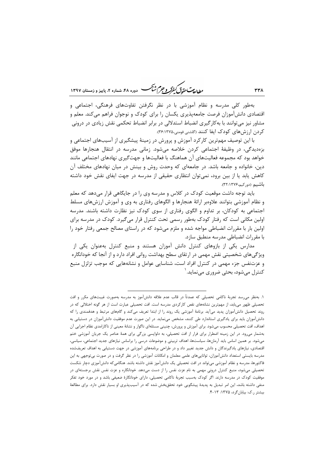ر<br>مطالعات متحقق *کفوکر و جهم شنگ* دوده ۴۸، شعاره ۲، پاییز و زمستان ۱۳۹۷

بهطور کلی مدرسه و نظام آموزشی با در نظر نگرفتن تفاوتهای فرهنگی، اجتماعی و اقتصادی دانشآموزان فرصت جامعهپذیری یکسان را برای کودک و نوجوان فراهم میکند. معلم و مشاور نیز می توانند با به کار گیری انضباط استدلالی در برابر انضباط تحکمی نقش زیادی در درونی کردن ارزش های کودک ایفا کنند (گلشنی فومنی،۱۳۷۵:۳۶:۱۳۷۵).

با این توصیف مهمترین کارکرد آموزش و پرورش در زمینهٔ پیشگیری از آسیبهای اجتماعی و بزهدیدگی، در وظیفهٔ اجتماعی کردن خلاصه میشود. زمانی مدرسه در انتقال هنجارها موفق خواهد بود که مجموعه فعالیتهای آن هماهنگ با فعالیتها و جهتگیری نهادهای اجتماعی مانند دین، خانواده و جامعه باشد. در جامعهای که وحدت روش و بینش در میان نهادهای مختلف آن کاهش یابد یا از بین برود، نمیتوان انتظاری حقیقی از مدرسه در جهت ایفای نقش خود داشته باشيم (دوركيم،۱۳۷۶).

باید توجه داشت موقعیت کودک در کلاس و مدرسه وی را در جایگاهی قرار میدهد که معلم و نظام آموزشی بتوانند علاوهبر ارائهٔ هنجارها و الگوهای رفتاری به وی و آموزش ارزشهای مسلط اجتماعی به کودکان، بر تداوم و الگوی رفتاری از سوی کودک نیز نظارت داشته باشند. مدرسه اولین مکانی است که رفتار کودک بهطور رسمی تحت کنترل قرار می گیرد. کودک در مدرسه برای اولین بار با مقررات انضباطی مواجه شده و ملزم میشود که در راستای مصالح جمعی رفتار خود را با مقررات انضباطی مدرسه منطبق سازد.

مدارس یکی از بازوهای کنترل دانش آموزان هستند و منبع کنترل بهعنوان یکی از ویژگیهای شخصیتی نقش مهمی در ارتقای سطح بهداشت روانی افراد دارد و از آنجا که خودانگاره و عزتنفس جزء مهمی در کنترل افراد است، شناسایی عوامل و نشانههایی که موجب تزلزل منبع کنترل مے شود، بحثی ضروری مے نماید. '

۱. بهنظر می رسد تجربهٔ ناکامی تحصیلی که عمدتاً در قالب عدم علاقه دانشآموز به مدرسه بهصورت غیبتهای مکرر و افت تحصیلی ظهور می یابد، از مهمترین نشانههای نقص کارکردی مدرسه است. افت تحصیلی عبارت است از هر گونه اختلالی که در روند تحصیل دانشآموزان پدید میآید. برنامهٔ آموزشی یک روند را از ابتدا تعریف میکند و گامهای مرتبط و هدفمندی را که دانشآموزان باید برای یادگیری استاندارد طی کنند، مشخص مینماید. در این صورت عدم موفقیت دانشآموزان در دستیابی به اهداف، افت تحصیلی محسوب میشود. برای آموزش و پرورش، چنینی مسئلهای ناگوار و نشانهٔ معینی از ناکارامدی نظام اجرایی آن بهشمار می ود. در این زمینه اضطرار برای فرار از افت تحصیلی، به دلواپسی بزرگی برای همهٔ عناصر یک جریان آموزشی ختم میشود. بر همین اساس باید آرمانها، سیاستها، اهداف تربیتی و موضوعات درسی را براساس نیازهای جدید اجتماعی، سیاسی، اقتصادی، نیازهای یادگیرندگان و دانش جدید تغییر داد و در طراحی برنامههای آموزشی در جهت دستیابی به اهداف تعریفشده مدرسه بایستی استعداد دانش[موزان، تواناییهای علمی معلمان و امکانات آموزشی را در نظر گرفت و در صورت بیتوجهی به این فاکتورها، مدرسه و نظام آموزشی میتواند در افت تحصیلی یک دانشآموز نقش داشته باشد. هنگامیکه دانشآموزی دچار شکست تحصیلی میشود، منبع کنترل درونی مهمی به نام عزت نفس را از دست میدهد. خودانگاره و عزت نفس نقش برجستهای در موفقیت کودک در مدرسه دارند. اگر کودک بهسبب تجربهٔ ناکامی تحصیلی، دارای خودانگارهٔ ضعیفی باشد و در مورد خود تفکر منفی داشته باشد، این امر تبدیل به پدیدهٔ پیشگویی خود تحققبخش شده که در آسیبپذیری او بسیار نقش دارد. برای مطالعهٔ بیشتر ر.ک: بیابانگرد، ۱۳۷۵: ۴-۱۳.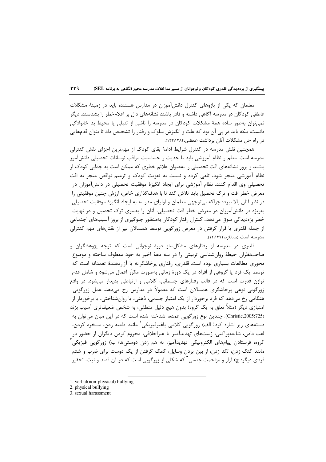معلمان که یکی از بازوهای کنترل دانشآموزان در مدارس هستند، باید در زمینهٔ مشکلات عاطفی کودکان در مدرسه آگاهی داشته و قادر باشند نشانههای دال بر اعلامخطر را بشناسند. دیگر نمي توان بهطور ساده همهٔ مشكلات كودكان در مدرسه را ناشي از تنبلي يا محيط بد خانوادگي دانست، بلکه باید در پی آن بود که علت و انگیزش سلوک و رفتار را تشخیص داد تا بتوان قدمهایی در راه حل مشکلات آنان برداشت (معظمی،۱۲۸۲:۱۳۸۲).

همچنین نقش مدرسه در کنترل شرایط ادامهٔ بقای کودک از مهمترین اجزای نقش کنترلی مدرسه است. معلم و نظام آموزشی باید با جدیت و حساسیت مراقب نوسانات تحصیلی دانشآموز باشند و بروز نشانههای افت تحصیلی را بهعنوان علائم خطری که ممکن است به جدایی کودک از نظام آموزشی منجر شود، تلقی کرده و نسبت به تقویت کودک و ترمیم نواقص منجر به افت تحصیلی وی اقدام کنند. نظام آموزشی برای ایجاد انگیزهٔ موفقیت تحصیلی در دانشآموزان در معرض خطر افت و ترک تحصیل باید تلاش کند تا با هدف\$ذاری خاص، ارزش چنین موفقیتی را در نظر آنان بالا ببرد؛ چراکه بیتوجهی معلمان و اولیای مدرسه به ایجاد انگیزهٔ موفقیت تحصیلی بهویژه در دانش آموزان در معرض خطر افت تحصیلی، آنان را بهسوی ترک تحصیل و در نهایت خطر بزەدیدگی سوق می(دهد. کنترل رفتار کودکان بەمنظور جلوگیری از بروز آسیبھای اجتماعی از جمله قلدری یا قرار گرفتن در معرض زورگویی توسط همسالان نیز از نقشهای مهم کنترلی مد, سه است (بیابانگرد،١٣٧٢:١٢).

قلدری در مدرسه از رفتارهای مشکلساز دورهٔ نوجوانی است که توجه پژوهشگران و صاحبنظران حيطهٔ روانشناسي تربيتي را در سه دههٔ اخير به خود معطوف ساخته و موضوع محوری مطالعات بسیاری بوده است. قلدری، رفتاری پرخاشگرانه یا آزاردهندهٔ تعمدانه است که توسط یک فرد یا گروهی از افراد در یک دورهٔ زمانی بهصورت مکرّر اعمال می شود و شامل عدم توازن قدرت است که در قالب رفتارهای جسمانی، کلامی و ارتباطی پدیدار میشود. در واقع زورگویی نوعی پرخاشگری همسالان است که معمولاً در مدارس رخ میدهد. عمل زورگویی هنگامی رخ میدهد که فرد برخوردار از یک امتیاز جسمی، ذهنی، یا روانشناختی، یا برخوردار از امتیازی دیگر (مثلاً تعلق به یک گروه) بدون هیچ دلیل منطقی، به شخص ضعیفتری آسیب بزند (Christie,2005:725). چندین نوع زورگویی عمده، شناخته شده است که در این میان می توان به دستههای زیر اشاره کرد: الف) زورگویی کلامی یاغیرفیزیکی ٰ مانند طعنه زدن، مسخره کردن، لقب دادن، شایعهپراکنی، ژستهای تهدیدآمیز یا غیراخلاقی، محروم کردن دیگران از حضور در گروه، فرستادن پیامهای الکترونیکی تهدیدآمیز، به هم زدن دوستیها؛ ب) زورگویی فیزیکی مانند کتک زدن، لگد زدن، از بین بردن وسایل، کمک گرفتن از یک دوست برای ضرب و شتم فردی دیگر؛ ج) آزار و مزاحمت جنسی<sup>۳</sup> که شکلی از زورگویی است که در آن قصد و نیت، تحقیر

<sup>1.</sup> verbal(non-physical) bullying

<sup>2.</sup> physical bullying

<sup>3.</sup> sexual harassment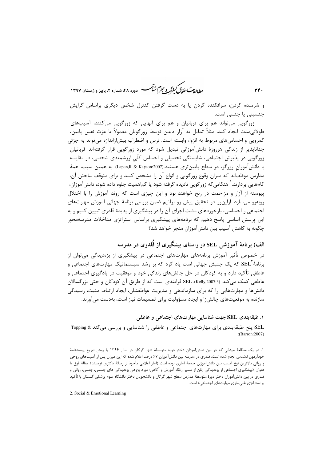ر ای<del>د آن</del> کرد در در در این کشتی در ۴۸، شماره ۲، پاییز و زمستان ۱۳۹۷

و شرمنده کردن، سرافکنده کردن یا به دست گرفتن کنترل شخص دیگری براساس گرایش جنسیتی یا جنسی است.

٣۴.

زورگویی می تواند هم برای قربانیان و هم برای آنهایی که زورگویی می کنند، آسیبهای طولانی مدت ایجاد کند. مثلاً تمایل به آزار دیدن توسط زورگویان معمولاً با عزت نفس پایین، کمرویی و احساس۱عای مربوط به انزوا، وابسته است. ترس و اضطراب بیش|زاندازه می¤واند به جزئی جداناپذیر از زندگی هرروزهٔ دانشآموزانی تبدیل شود که مورد زورگویی قرار گرفتهاند. قربانیان زورگویی در پذیرش اجتماعی، شایستگی تحصیلی و احساس کلّی ارزشمندی شخصی، در مقایسه با دانشآموزان زورگو، در سطح پایینتری هستند.(Lapan,R & Kayson:2007). به همین سبب، همهٔ مدارس موظفاند که میزان وقوع زورگویی و انواع آن را مشخص کنند و برای متوقف ساختن آن، گامهایی بردارند. ٰ هنگامی َکه زور گویی نادیده گرفته شود یا کماهمیت جلوه داده شود، دانشآموزان، پیوسته از آزار و مزاحمت در رنج خواهند بود و این چیزی است که روند آموزش را با اختلال روبهرو می سازد. ازاین رو در تحقیق پیش رو برآنیم ضمن بررسی برنامهٔ جهانی آموزش مهارتهای اجتماعی و احساسی، بازخوردهای مثبت اجرای آن را در پیشگیری از پدیدهٔ قلدری تبیین کنیم و به این پرسش اساسی پاسخ دهیم که برنامههای پیشگیری براساس استراتژی مداخلات مدرسهمحور چگونه به کاهش آسیب بین دانشآموزان منجر خواهد شد؟

الف) برنامهٔ آموزشی SEL در راستای پیشگیری از قُلدری در مدرسه

در خصوص تأثیر آموزش برنامههای مهارتهای اجتماعی در پیشگیری از بزهدیدگی می توان از برنامهٔ SEL که یک جنبش جهانی است یاد کرد که بر رشد سیستماتیک مهارتهای اجتماعی و عاطفی تأکید دارد و به کودکان در حل چالشهای زندگی خود و موفقیت در یادگیری اجتماعی و عاطفي كمك مي كند (Kelly,2007:3). SEL فرايندي است كه از طريق آن كودكان و حتى بزرگسالان دانشها و مهارتهایی را که برای سازماندهی و مدیریت عواطفشان، ایجاد ارتباط مثبت، رسیدگی سازنده به موقعیتهای چالشiا و ایجاد مسؤولیت برای تصمیمات نیاز است، بهدست میآورند.

۱. طبقه بندی SEL جهت شناسایی مهارتهای اجتماعی و عاطفی

SEL پنج طبقهبندی برای مهارتهای اجتماعی و عاطفی را شناسایی و بررسی می کند & Topping :(Barron:2007)

2. Social & Emotional Learning

۱. در یک مطالعهٔ میدانی که در بین دانشآموزان دختر دورهٔ متوسطهٔ شهر گرگان در سال ۱۳۹۶ با روش توزیع پرسشنامهٔ خودآزمون ناشناس انجام شده است، قلدری در مدرسه بین دانشآموزان ۶۷ درصد اعلام شده که این میزان پس از آسیبهای روحی و رواني بالاترين نوع آسيب بين دانش[موزان جامعهٔ آماري بوده است (آمار اعلامي مأخوذ از رسالهٔ دكترى نويسندهٔ مقالهٔ فوق با عنوان «پیشگیری اجتماعی از بزهدیدگی زنان از مسیر ارتقاء آموزش و آگاهی: مورد پژوهی بزهدیدگی های جسمی، جنسی، روانی و قلدری در بین دانشآموزان دختر دورهٔ متوسطهٔ مدارس سطح شهر گرگان و دانشجویان دختر دانشگاه علوم پزشکی گلستان با تأکید بر استراتژی غنی سازی مهارتهای اجتماعی» است.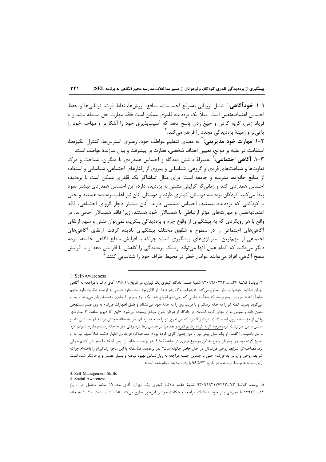1–1. **خودآگاهي:** ` شامل ارزيابي بهموقع احساسات، منافع، ارزشها، نقاط قوت، توانايي ها و حفظ احساس اعتمادبهنفس است. مثلاً یک بزهدیده قلدری ممکن است فاقد مهارت حل مسئله باشد و با فریاد زدن، گریه کردن و جیغ زدن پاسخ دهد که آسیبپذیری خود را آشکارتر و مهاجم خود را یاغی تر و زمینهٔ بزەدیدگی مجدد را فراهم می کند. آ

۲–۱. مهارت خود مدیریتی: <sup>۲</sup> به معنای تنظیم عواطف خود، ٫هبری استرس۵۱، کنترل انگیزهها، استقامت در غلبه بر موانع، تعيين اهداف شخصي، نظارت بر پيشرفت و بيان سازندهٔ عواطف است. **۳-۱. آگاهی اجتماعی:**<sup>۴</sup> بهمنزلهٔ داشتن دیدگاه و احساس همدردی با دیگران، شناخت و درک تفاوتها و شباهتهای فردی و گروهی، شناسایی و پیروی از رفتارهای اجتماعی، شناسایی و استفاده از منابع خانواده، مدرسه و جامعه است. برای مثال تماشاگر یک قلدری ممکن است با بزهدیده احساس همدردی کند و زمانی که گرایش مثبتی به بزهدیده دارد، این احساس همدردی بیشتر نمود پیدا می کند. کودکان بزهدیده دوستان کمتری دارند و دوستان آنان نیز اغلب بزهدیده هستند و حتی با کودکانی که بزهدیده نیستند، احساس دشمنی دارند. آنان بیشتر دچار انزوای اجتماعی، فاقد اعتمادبهنفس و مهارتهای مؤثر ارتباطی با همسالان خود هستند، زیرا فاقد همسالان حامیاند. در واقع با هر رویکردی که به پیشگیری از وقوع جرم و بزهدیدگی بنگریم، نمیتوان نقش و سهم ارتقای آگاهیهای اجتماعی را در سطوح و شقوق مختلف پیشگیری نادیده گرفت. ارتقای آگاهیهای اجتماعی از مهمترین استراتژیهای پیشگیری است؛ چراکه با افزایش سطح آگاهی جامعه، مردم دیگر میدانند که کدام عمل آنها میتواند ریسک بزهدیدگی را کاهش یا افزایش دهد و با افزایش سطح آگاهی، افراد مے توانند عوامل خطر در محیط اطراف خود را شناسایی کنند.<sup>۵</sup>

<sup>1.</sup> Self-Awareness

۲. پروندهٔ کلاسهٔ ۳۶....... ۹۳۰۹۹۸۰۲۳۳ شعبهٔ هشتم دادگاه کیفری یک تهران، در تاریخ ۹۳/۶/۱۹ آقای م.ک با مراجعه به آگاهی تهران شکایت خود را اینطور مطرح میکند: «اینجانب م.ک پدر عرفان از آقای م<sub>ا</sub>ز بابت تجاوز جنسی به فرزندم شکایت دارم. متهم سابقاً رانندهٔ سرویس پسرم بود که بعداً به دلیلی که نمیدانم اخراج شد. یک روز پسرم را جلوی مؤسسهٔ زبان میبیند و به او میگوید پدرت گفته تو را به خانه برسانم و با فریب وی را به خانهٔ خود میکشاند و طبق اظهارات فرزندم به وی فیلم مستهجن نشان داده و سپس به او تجاوز کرده است». در دادگاه از عرفان شرح ماوقع پرسیده میشود: «این آقا دیروز ساعت ۳ بعدازظهر وقتی از مؤسسه بیرون آمدم گفت پدرت زنگ زد که من امروز تو را به خانه برسانم. مرا به خانهٔ خودش برد، فیلم بد نشان داد و سپس با من کار زشت کرد<mark>، هرچه گریه کردم رهایم نکرد</mark> و بعد مرا در خیابان رها کرد وقتی دیر به خانه رسیدم مادرم دعوایم کرد و من واقعیت را گفتم، او یک سال پیش نیز با من چنین کاری کرده بود». مصاحبهگر: فرزندتان اظهار داشت قبلاً متهم نیز به او تجاوز کرده بود چرا پسرتان راجع به این موضوع چیزی در خانه نگفت؟ پدر بزهدیده: شاید از ترس اینکه ما دعوایش کنیم حرفی نزد. مصاحبهگر: شرایط روحی فرزندتان در حال حاضر چگونه است؟ پدر بزهدیده: متأسفانه با این ماجرا زندگی|م را باختهام چراكه شرایط روحی و روانی بد فرزندم حتی با چندین جلسه مراجعه به روانشناس بهبود نیافته و بسیار عصبی و پرخاشگر شده است. (این مصاحبه توسط نویسنده در تاریخ ۹۶/۵/۲۳ با پدر بزهدیده انجام شده است).

<sup>3.</sup> Self-Management Skills

<sup>4.</sup> Social Awareness

۵. یروندهٔ کلاسهٔ ۹۳۰۹۹۸۲۱۷۶۴۹۳۰۰۰۳ شعبهٔ هفتم دادگاه کیفری یک تهران، آقای م.ف۱۷، ساله، محصل در تاریخ ۱۳۹۲/۱۰/۱۲ با همراهی پدر خود به دادگاه مراجعه و شکایت خود را اینطور مطرح میکند: «یک شب ساعت ۱۰:۳۰ به خانه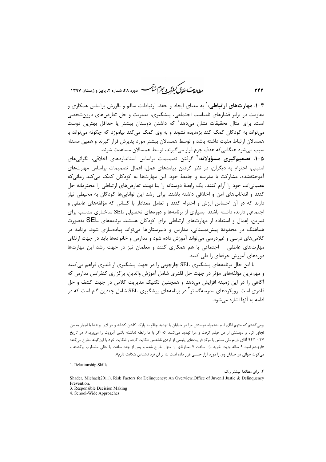ر<br>روان<del>دیمت مقد</del>قی *کنفرگر و جرم شنگ* دوره ۴۸، شماره ۲، پاییز و زمستان ۱۳۹۷

**۴-۱. مهارتهای ارتباطی:**` به معنای ایجاد و حفظ ارتباطات سالم و باارزش براساس همکاری و مقاومت در برابر فشارهای نامناسب اجتماعی، پیشگیری، مدیریت و حل تعارضهای درونشخصی است. برای مثال تحقیقات نشان می۱هد<sup>۲</sup> که داشتن دوستان بیشتر یا حداقل بهترین دوست میتواند به کودکان کمک کند بزهدیده نشوند و به وی کمک میکند بیاموزد که چگونه میتواند با همسالان ارتباط مثبت داشته باشد و توسط همسالان بیشتر مورد پذیرش قرار گیرند و همین مسئله سبب می شود هنگامی که هدف جرم قرار می گیرند، توسط همسالان مساعدت شوند.

۰۵–**۱. تصمیمگیری مسؤولانه:**۳ گرفتن تصمیمات براساس استانداردهای اخلاقی، نگرانیهای امنیتی، احترام به دیگران، در نظر گرفتن پیامدهای عمل، اعمال تصمیمات براساس مهارتهای آموختهشده، مشارکت با مدرسه و جامعهٔ خود. این مهارتها به کودکان کمک می کند زمانی که عصبانی|ند، خود را آرام کنند، یک رابطهٔ دوستانه را بنا نهند، تعارضهای ارتباطی را محترمانه حل کنند و انتخابهای امن و اخلاقی داشته باشند. برای رشد این تواناییها کودکان به محیطی نیاز دارند که در آن احساس ارزش و احترام کنند و تعامل معنادار با کسانی که مؤلفههای عاطفی و اجتماعی دارند، داشته باشند. بسیاری از برنامهها و دورههای تحصیلی SEL ساختاری مناسب برای تمرین، اعمال و استفاده از مهارتهای ارتباطی برای کودکان هستند. برنامههای SEL بهصورت هماهنگ در محدودهٔ پیشدبستانی، مدارس و دبیرستانها میتواند پیادهسازی شود. برنامه در کلاس۵های درسی و غیردرسی می تواند آموزش داده شود و مدارس و خانوادهها باید در جهت ارتقای مهارتهای عاطفی – اجتماعی با هم همکاری کنند و معلمان نیز در جهت رشد این مهارتها دور مهای آموزش حرفهای را طی کنند.

با این حال برنامههای پیشگیری SEL چارچوبی را در جهت پیشگیری از قلدری فراهم می کنند و مهمترین مؤلفههای مؤثر در جهت حل قلدری شامل آموزش والدین، برگزاری کنفرانس مدارس که آگاهی را در این زمینه افزایش میدهد و همچنین تکنیک مدیریت کلاس در جهت کشف و حل قلدری است. رویکردهای مدرسهگستر <sup>۱</sup> در برنامههای پیشگیری SEL شامل چندین گام است که در ادامه به آنها اشاره مے شود.

1. Relationship Skills

٢. براي مطالعۀ بيشتر , ک:

برمی گشتم که متهم آقای ا. م بههمراه دوستش مرا در خیابان با تهدید چاقو به پارک گلشن کشاند و در لای بوتهها با اجبار به من تجاوز کرد و دوستش از من فیلم گرفت و مرا تهدید میکنند که اگر با ما رابطه نداشته باشی آبرویت را م<u>یبریم</u>». در تاریخ ۹۴/۱۰/۲۷ آقای ش.م طی تماس با مرکز فوریتهای پلیسی از فردی ناشناس شکایت کرده و شکایت خود را این گونه مطرح می کند: «فرزندم امید ۹ ساله جهت خرید نان <u>ساعت ۷ بعدازظهر</u> از منزل خارج شده و پس از چند ساعت با حالی مضطرب برگشته و می گوید جوانی در خیابان وی را مورد آزار جنسی قرار داده است لذا از آن فرد ناشناس شکایت دارم».

Shader, Michael(2011), Risk Factors for Delinquency: An Overview, Office of Juvenil Justic & Delinquency Prevention

<sup>3.</sup> Responsible Decision Making

<sup>4.</sup> School-Wide Approaches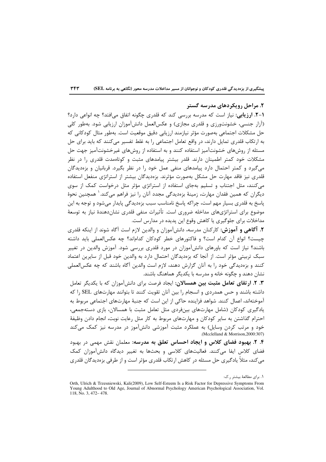## ۲. مراحل رویکردهای مدرسه گستر

1-٢. ارزیابی: نیاز است که مدرسه بررسی کند که قلدری چگونه اتفاق می افتد؟ چه انواعی دارد؟ (آزار جنسی، خشونتورزی و قلدری مجازی) و عکسالعمل دانشآموزان ارزیابی شود. بەطور کلی حل مشکلات اجتماعی بهصورت مؤثر نیازمند ارزیابی دقیق موقعیت است. بهطور مثال کودکانی که به ارتکاب قلدری تمایل دارند، در واقع تعامل اجتماعی را به غلط تفسیر می کنند که باید برای حل مسئله از روشهای خشونتآمیز استفاده کنند و به استفاده از روشهای غیرخشونتآمیز جهت حل مشکلات خود کمتر اطمینان دارند. قلدر بیشتر پیامدهای مثبت و کوتاهمدت قلدری را در نظر میگیرد و کمتر احتمال دارد پیامدهای منفی عمل خود را در نظر بگیرد. قربانیان و بزهدیدگان قلدری نیز فاقد مهارت حل مشکل بهصورت مؤثرند. بزهدیدگان بیشتر از استراتژی منفعل استفاده می کنند، مثل اجتناب و تسلیم بهجای استفاده از استراتژی مؤثر مثل درخواست کمک از سوی دیگران که همین فقدان مهارت، زمینهٔ بزەدیدگی مجدد آنان را نیز فراهم میکند.<sup>\</sup> همچنین نحوهٔ پاسخ به قلدري بسيار مهم است، چراكه پاسخ نامناسب سبب بزهديدگي پايدار مي شود و توجه به اين موضوع برای استراتژیهای مداخله ضروری است. تأثیرات منفی قلدری نشاندهندهٔ نیاز به توسعهٔ مداخلات برای جلوگیری یا کاهش وقوع این پدیده در مدارس است.

٢. آگاهی و آموزش: کارکنان مدرسه، دانشآموزان و والدین لازم است آگاه شوند از اینکه قلدری حِيست؟ انواع آن كدام است؟ و فاكتورهاى خطر كودكان كداماند؟ چه عكسالعملى بايد داشته باشند؟ نیاز است که باورهای دانشآموزان در مورد قلدری بررسی شود. آموزش والدین در تغییر سبک تربیتی مؤثر است. از آنجا که بزهدیدگان احتمال دارد به والدین خود قبل از سایرین اعتماد کنند و بزهدیدگی خود را به آنان گزارش دهند، لازم است والدین آگاه باشند که چه عکسالعملی نشان دهند و چگونه خانه و مدرسه با یکدیگر هماهنگ باشند.

۰. ۲. ارتقای تعامل مثبت بین همسالان: ایجاد فرصت برای دانشآموزان که با یکدیگر تعامل داشته باشند و حس همدردی و انسجام را بین آنان تقویت کنند تا بتوانند مهارتهای SEL را که آموختهاند، اعمال کنند. شواهد فزاینده حاکی از این است که جنبهٔ مهارتهای اجتماعی مربوط به یادگیری کودکان (شامل مهارتهای بینفردی مثل تعامل مثبت با همسالان، بازی دستهجمعی، احترام گذاشتن به سایر کودکان و مهارتهای مربوط به کار مثل رعایت نوبت، انجام دادن وظیفهٔ خود و مرتب کردن وسایل) به عملکرد مثبت آموزشی دانشآموز در مدرسه نیز کمک می کند (Mcclelland & Morrison, 2000: 307)

۴. ۲. بهبود فضای کلاس و ایجاد احساس تعلق به مدرسه: معلمان نقش مهمی در بهبود فضای کلاس ایفا میکنند. فعالیتهای کلاسی و بحثها به تغییر دیدگاه دانشآموزان کمک می کند، مثلاً یادگیری حل مسئله در کاهش ارتکاب قلدری مؤثر است و از طرفی بزهدیدگان قلدری

١. براي مطالعهٔ بيشتر ر.ک:

Orth, Ulrich & Trzesniewski, Kali(2009), Low Self-Esteem Is a Risk Factor for Depressive Symptoms From Young Adulthood to Old Age. Journal of Abnormal Psychology American Psychological Association, Vol. 118, No. 3, 472-478.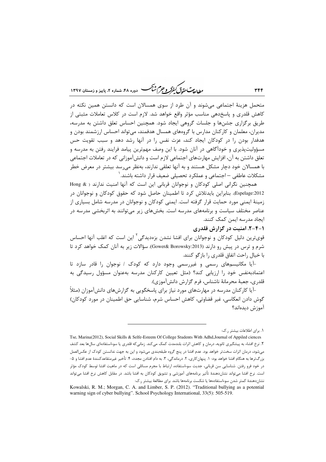ر ...<br>را دادست حقدتی کنفرگر و جرم شنگ هست دوره ۴۸، شهاره ۲، مامیز و ذمستان ۱۳۹۷

متحمل هزینهٔ اجتماعی میشوند و آن طرد از سوی همسالان است که دانستن همین نکته در کاهش قلدری و پاسخدهی مناسب مؤثر واقع خواهد شد. لازم است در کلاس تعاملات مثبتی از طریق برگزاری جشنها و جلسات گروهی ایجاد شود. همچنین احساس تعلق داشتن به مدرسه، مدیران، معلمان و کارکنان مدارس با گروههای همسال هدفمند، می تواند احساس ارزشمند بودن و هدفدار بودن را در کودکان ایجاد کند، عزت نفس را در آنها رشد دهد و سبب تقویت حس مسؤولیتپذیری و خوداًگاهی در آنان شود. با این وصف مهمترین پیامد فرایند رفتن به مدرسه و تعلق داشتن به آن، افزایش مهارتهای اجتماعی لازم است و دانش آموزانی که در تعاملات اجتماعی با همسالان خود دچار مشکل هستند و به آنها تعلقی ندارند، بهنظر میرسد بیشتر در معرض خطر مشكلات عاطفى — اجتماعى و عملكرد تحصيلى ضعيف قرار داشته باشند. ٰ

همچنین نگرانی اصلی کودکان و نوجوانان قربانی این است که آنها امنیت ندارند ( & Hong Espelage:2012). بنابراین بایدتلاش کرد تا اطمینان حاصل شود که حقوق کودکان و نوجوانان در زمینهٔ ایمنی مورد حمایت قرار گرفته است. ایمنی کودکان و نوجوانان در مدرسه شامل بسیاری از عناصر مختلف سیاست و برنامههای مدرسه است. بخشهای زیر میتوانند به اثربخشی مدرسه در ابجاد مدرسه ايمن كمك كنند.

۱-۴-۲. امنیت در گزارش قلدری

قوی ترین دلیل کودکان و نوجوانان برای افشا نشدن بزودیدگی<sup>۲</sup> این است که اغلب آنها احساس شرم و ترس در پیش رو دارند (Gower& Borowsky:2013). سؤالات زیر به آنان کمک خواهد کرد تا با خيال راحت اتفاق قلدري را بازگو كنند.

-آیا مکانیسمهای رسمی و غیررسمی وجود دارد که کودک / نوجوان را قادر سازد تا اعتمادبهنفس خود را ارزیابی کند؟ (مثل تعیین کارکنان مدرسه بهعنوان مسؤول رسیدگی به قلدري، جعبهٔ محرمانهٔ ناشناس، فرم گزارش دانش آموزي).

-آیا کارکنان مدرسه در مهارتهای مورد نیاز برای پاسخگویی به گزارشهای دانشآموزان (مثلاً گوش دادن انعکاسی، غیر قضاوتی، کاهش احساس شرم، شناسایی حق اطمینان در مورد کودکان) آموزش ديدهاند؟

۰. برای اطلاعات بیشتر ر.ک:

Tse, Marina(2012), Social Skills & Selfe-Esteem Of College Students With Adhd, Journal of Appiled ciences ۲. نرخ افشاء به پیشگیری ثانویه، درمان و کاهش اثرات بلندمدت کمک میکند. زمانیکه قلدری یا سوءاستفادهای سالها بعد کشف مے،شود، درمان اثرات سخت ر خواهد بود. عدم افشا در پنج گروه طبقهبندی مے،شود و این به جهت ندانستن کودک از عکس|لعمل بزرگ ترها به هنگام افشا خواهد بود: ١. پنهان كارى، ٢. درماندگى، ٣. به دام افتادن مجدد، ۴. تأخير غيرمتقاعدكنندۀ عدم افشا و ۵-در خود فرو رفتن. شناسایی سن قربانی، جدیت سوءاستفاده، ارتباط با مجرم مسائلی است که در ماهیت افشا توسط کودک مؤثر است. نرخ افشا می¤واند نشاندهندهٔ تأثیر برنامههای آموزشی و تشویق کودکان به افشا باشد. در مقابل کاهش نرخ افشا میتواند نشاندهندهٔ کمتر شدن سوءاستفادهها یا شکست برنامهها باشد. برای مطالعهٔ بیشتر ر.ک:

Kowalski, R. M.; Morgan, C. A. and Limber, S. P. (2012). "Traditional bullying as a potential warning sign of cyber bullying". School Psychology International, 33(5): 505-519.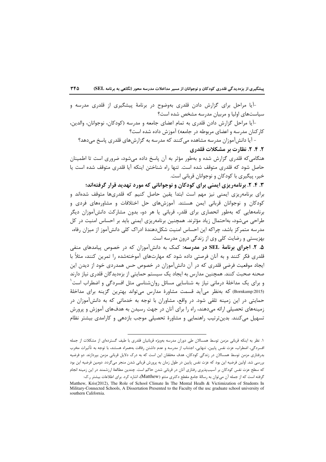-آیا مراحل برای گزارش دادن قلدری بهوضوح در برنامهٔ پیشگیری از قلدری مدرسه و سیاستهای اولیا و مربیان مدرسه مشخص شده است؟

-آيا مراحل گزارش دادن قلدري به تمام اعضاي جامعه و مدرسه (كودكان، نوجوانان، والدين، کارکنان مدرسه و اعضای مربوطه در جامعه) آموزش داده شده است؟

- آیا دانش آموزان مدرسه مشاهده می کنند که مدرسه به گزارشهای قلدری پاسخ میدهد؟ ۲. ۴. ۲. نظارت بر مشکلات قلدری

هنگامی که قلدری گزارش شده و بهطور مؤثر به آن پاسخ داده میشود، ضروری است تا اطمینان حاصل شود که قلدری متوقف شده است. تنها راه شناختن اینکه آیا قلدری متوقف شده است یا خیر، پیگیری با کودکان و نوجوانان قربانی است.

۴. ۴. ۲. برنامهریزی ایمنی برای کودکان و نوجوانانی که مورد تهدید قرار گرفتهاند؛

برای برنامهریزی ایمنی نیز مهم است ابتدا یقین حاصل کنیم که قلدریها متوقف شدهاند و کودکان و نوجوانان قربانی ایمن هستند. آموزشهای حل اختلافات و مشاورههای فردی و برنامههایی که بهطور انحصاری برای قلدر، قربانی یا هر دو، بدون مشارکت دانشآموزان دیگر طراحی میشود، بهاحتمال زیاد مؤثرند. همچنین برنامهریزی ایمنی باید بر احساس امنیت در کل مدرسه متمر کز باشد، چراکه این احساس امنیت شکلدهندهٔ ادراک کلی دانشآموز از میزان رفاه، بهزیستی و رضایت کلی وی از زندگی درون مدرسه است.

۰۵. ۲. اجرای برنامهٔ SEL در مدرسه: کمک به دانشآموزان که در خصوص پیامدهای منفی قلدری فکر کنند و به آنان فرصتی داده شود که مهارتهای آموختهشده را تمرین کنند، مثلاً با ایجاد موقعیت فرضی قلدری که در آن دانشآموزان در خصوص حس همدردی خود از دیدن این صحنه صحبت کنند. همچنین مدارس به ایجاد یک سیستم حمایتی از بزهدیدگان قلدری نیاز دارند و برای یک مداخلهٔ درمانی نیاز به شناسایی مسائل روانشناسی مثل افسردگی و اضطراب است<sup>۱</sup> (Bornkamp:2015) که بهنظر می آید قسمت مشاورهٔ مدارس می تواند بهترین گزینه برای مداخلهٔ حمایتی در این زمینه تلقی شود. در واقع، مشاوران با توجه به خدماتی که به دانشآموزان در زمینههای تحصیلی ارائه می دهند، راه را برای آنان در جهت رسیدن به هدفهای آموزش و پرورش تسهیل میکنند. بدین ترتیب راهنمایی و مشاورهٔ تحصیلی موجب بازدهی و کارامدی بیشتر نظام

۱. نظر به اینکه قربانی مزمن توسط همسالان طی دوران مدرسه بهویژه قربانیان قلدری با طیف گستردهای از مشکلات از جمله افسردگی، اضطراب، عزت نفس پایین، تنهایی، اجتناب از مدرسه و عدم داشتن رفاقت بههمراه هستند، با توجه به تأثیرات مخرب بدرفتاری مزمن توسط همسالان در زندگی کودکان، هدف محققان این است که به درک دلایل قربانی مزمن بپردازند. دو فرضیه بررسی شد. اولین فرضیه این بود که عزت نفس پایین در طول زمان به پرورش قربانی شدن منجر میگردد. دومین فرضیه این بود که سطح عزت نفس کودکان بر آسیبپذیری رفتاری آنان در قربانی شدن حاکم است. چندین مطالعهٔ ارزشمند در این زمینه انجام

گرفته است که از جمله آن می توان به رسالهٔ جامع مقطع دکتری متئو (Matthew)، اشاره کرد. برای اطلاعات بیشتر ر.ک: Matthew, Kris(2012), The Role of School Climate In The Mental Healh & Victimization of Students In Military-Connected Schools. A Dissertation Presented to the Faculty of the usc graduate school university of southern California.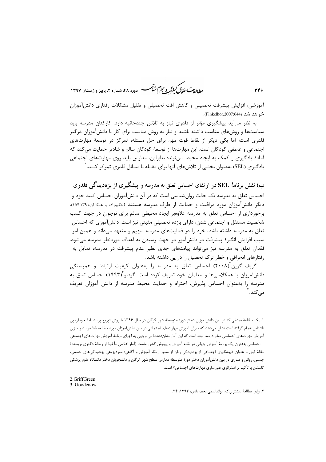ر ...<br>بطالعات تقد*ق گفتر و جرم شنگ* دوده ۴۸، شعاره ۲، پاییز و ذمستان ۱۳۹۷

آموزشی، افزایش پیشرفت تحصیلی و کاهش افت تحصیلی و تقلیل مشکلات رفتاری دانش[موزان خواهد شد (Finkelhor,2007:644).

به نظر میآید پیشگیری مؤثر از قلدری نیاز به تلاش چندجانبه دارد. کارکنان مدرسه باید سیاستها و روشهای مناسب داشته باشند و نیاز به روش مناسب برای کار با دانشآموزان درگیر قلدری است؛ اما یکی دیگر از نقاط قوت مهم برای حل مسئله، تمرکز در توسعهٔ مهارتهای اجتماعي و عاطفي كودكان است. اين مهارتها از توسعهٔ كودكان سالم و شادتر حمايت مي كند كه آمادهٔ یادگیری و کمک به ایجاد محیط امنترند؛ بنابراین، مدارس باید روی مهارتهای اجتماعی یادگیری (SEL) بهعنوان بخشی از تلاشهای آنها برای مقابله با مسائل قلدری تمرکز کنند. <sup>(</sup>

ب) نقش برنامهٔ SEL در ارتقای احساس تعلق به مدرسه و پیشگیری از بزهدیدگی قلدری احساس تعلق به مدرسه یک حالت روانشناسی است که در آن دانشآموزان احساس کنند خود و دیگر دانش آموزان مورد مراقبت و حمایت از طرف مدرسه هستند (حکیمزاده و همکاران۱۵۴:۱۳۹۱). برخورداری از احساس تعلق به مدرسه علاوهبر ایجاد محیطی سالم برای نوجوان در جهت کسب شخصیت مستقل و اجتماعی شدن، دارای بازده تحصیلی مثبتی نیز است. دانشآموزی که احساس تعلق به مدرسه داشته باشد، خود را در فعالیتهای مدرسه سهیم و متعهد میداند و همین امر سبب افزایش انگیزهٔ پیشرفت در دانش[موز در جهت رسیدن به اهداف موردنظر مدرسه می شود. فقدان تعلق به مدرسه نیز میتواند پیامدهای جدی نظیر عدم پیشرفت در مدرسه، تمایل به رفتارهای انحرافی و خطر ترک تحصیل را در پی داشته باشد.

گریف گرین<sup>۲</sup>(۲۰۰۸) احساس تعلق به مدرسه را بهعنوان کیفیت ارتباط و همبستگی دانش]موزان با همکلاسیها و معلمان خود تعریف کرده است. گودنو (۱۹۹۳) احساس تعلق به مدرسه را بهعنوان احساس پذیرش، احترام و حمایت محیط مدرسه از دانش آموزان تعریف مے ,کند. <sup>۴</sup>

١. یک مطالعهٔ میدانی که در بین دانشآموزان دختر دورهٔ متوسطهٔ شهر گرگان در سال ۱۳۹۶ با روش توزیع پرسشنامهٔ خودآزمون .<br>ناشناس انجام گرفته است نشان می<هد که میزان آموزش مهارتهای اجتماعی در بین دانش آموزان مورد مطالعه ۲۵ درصد و میزان آموزش مهارتهای احساسی صفر درصد بوده است که این آمار نشاندهندهٔ بیتوجهی به اجرای برنامهٔ آموزش مهارتهای اجتماعی – احساسی بهعنوان یک برنامهٔ آموزش جهانی در نظام آموزش و پرورش کشور ماست (آمار اعلامی مأخوذ از رسالهٔ دکتری نویسندهٔ مقالهٔ فوق با عنوان «پیشگیری اجتماعی از بزهدیدگی زنان از مسیر ارتقاء آموزش و آگاهی: موردپژوهی بزهدیدگیهای جسمی، جنسی، روانی و قلدری در بین دانشآموزان دختر دورهٔ متوسطهٔ مدارس سطح شهر گرگان و دانشجویان دختر دانشگاه علوم پزشکی گلستان با تأکید بر استراتژی غنی سازی مهارتهای اجتماعی» است.

<sup>2.</sup>GriffGreen

<sup>3.</sup> Goodenow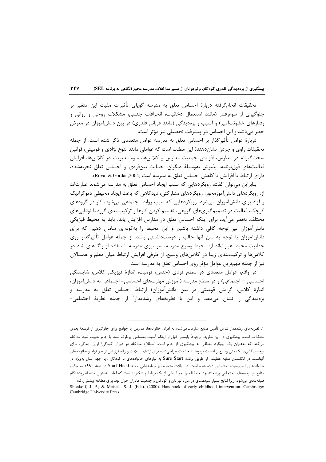تحقیقات انجامگرفته دربارهٔ احساس تعلق به مدرسه گویای تأثیرات مثبت این متغیر بر جلوگیری از سوءرفتار (مانند استعمال دخانیات، انحرافات جنسی، مشکلات روحی و روانی و رفتارهای خشونتآمیز) و آسیب و بزهدیدگی (مانند قربانی قلدری) در بین دانشآموزان در معرض خطر میباشد و این احساس در پیشرفت تحصیلی نیز مؤثر است.

دربارهٔ عوامل تأثیرگذار بر احساس تعلق به مدرسه عوامل متعددی ذکر شده است. از جمله تحقیقات راوی و جردن نشاندهندهٔ این مطلب است که عواملی مانند تنوع نژادی و قومیتی، قوانین سخت گیرانه در مدارس، افزایش جمعیت مدارس و کلاسها، سوء مدیریت در کلاسها، افزایش فعالیتهای فوق،رنامه، پذیرش بهوسیلهٔ دیگران، حمایت بینفردی و احساس تعلق تجربهشده، داراي ارتباط با افزايش يا كاهش احساس تعلق به مدرسه است (Rovai & Gordan,2004).

بنابراین می توان گفت، رویکردهایی که سبب ایجاد احساس تعلق به مدرسه می شوند عبارتاند از: رویکردهای دانشآموزمحور، رویکردهای مشارکتی، دیدگاهی که باعث ایجاد محیطی دموکراتیک و آزاد برای دانشآموزان می شود، رویکردهایی که سبب روابط اجتماعی می شود، کار در گروههای کوچک، فعالیت در تصمیمگیریهای گروهی، تقسیم کردن کارها و ترکیببندی گروه با تواناییهای مختلف. بەنظر می آید، برای اینکه احساس تعلق در مدارس افزایش پابد، باید به محیط فیزیکی دانشآموزان نیز توجه کافی داشته باشیم و این محیط را بهگونهای سامان دهیم که برای دانشآموزان با توجه به سن آنها جالب و دوستداشتنی باشد. از جمله عوامل تأثیرگذار روی جذابیت محیط عبارتاند از: محیط وسیع مدرسه، سرسبزی مدرسه، استفاده از رنگهای شاد در كلاسها و تركيببندي زيبا در كلاسهاي وسيع. از طرفي افزايش ارتباط ميان معلم و همسالان نیز از جمله مهمترین عوامل مؤثر روی احساس تعلق به مدرسه است.

در واقع، عوامل متعددی در سطح فردی (جنس، قومیت، اندازهٔ فیزیکی کلاس، شایستگی احساسی – اجتماعی) و در سطح مدرسه (آموزش مهارتهای احساسی- اجتماعی به دانشآموزان، اندازهٔ کلاس، گرایش قومیتی در بین دانشآموزان) ارتباط احساس تعلق به مدرسه و بزەديدگى ,ا نشان مے،دهد و اين با نظريەهاى ,شدمدار<sup>\</sup> از جمله نظريۀ اجتماعى-

۱. نظریههای رشدمدار شامل تأمین منابع سازماندهیشده به افراد، خانوادهها، مدارس یا جوامع برای جلوگیری از توسعهٔ بعدی مشکلات است. پیشگیری در این نظریه، ترجیحاً بایستی قبل از اینکه آسیب بهسختی برطرف شود یا جرم تثبیت شود مداخله می کند که به عنوان یک رویکرد منطقی به پیشگیری از جرم است. اصطلاح مداخله در دوران کودکی/ اوایل زندگی، برای برچسبگذاری یک متن وسیع از ادبیات مربوط به خدمات طراحیشده برای ارتقای سلامت و رفاه فرزندان از بدو تولد و خانوادههای آنهاست. در انگلستان منابع عظیمی از طریق برنامهٔ Sure Start به نیازهای خانوادههای با کودکان زیر چهار سال بهویژه در خانوادههای آسیبدیده اختصاص داده شده است. در ایالات متحده نیز برنامههایی مانند Start Head در دههٔ ۱۹۹۰ به جذب منابع در برنامههای اجتماعی پرداخته بود. خانهٔ المیرا نمونهٔ عالی از یک برنامهٔ پیشگیرانه است که اغلب بهعنوان مداخلهٔ زودهنگام

طبقهبندی میشود، زیرا نتایج بسیار سودمندی در مورد نوزادان و کودکان و جمعیت مادران جوان بود. برای مطالعهٔ بیشتر ر.ک: Shonkoff, J. P., & Meisels, S. J. (Eds). (2000). Handbook of early childhood intervention. Cambridge: Cambridge University Press.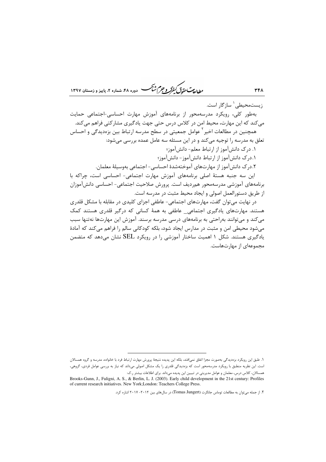مطالعات حقوق كنفركه وجرم شأكمسه -<br>- دوره ۴۸، شماره ۲، پاییز و زمستان ۱۳۹۷

; یستمحیطے, ' ساز گار است. بهطور کلی، رویکرد مدرسهمحور از برنامههای آموزش مهارت احساسی-اجتماعی حمایت می کند که این مهارت، محیط امن در کلاس درس حتی جهت یادگیری مشارکتی فراهم می کند. همچنین در مطالعات اخیر <sup>۱</sup> عوامل جمعیتی در سطح مدرسه ارتباط بین بزهدیدگی و احساس تعلق به مدرسه را توجیه می کند و در این مسئله سه عامل عمده بررسی میشود: ١. درک دانش آموز از ارتباط معلم- دانش آموز؛

٠.درک دانش آموز از ارتباط دانش آموز - دانش آموز؛

٢.در ک دانش آموز از مهارتهای آموختهشدهٔ احساسی- اجتماعی بهوسیلهٔ معلمان.

این سه جنبه هستهٔ اصلی برنامههای آموزش مهارت اجتماعی- احساسی است، چراکه با برنامههای آموزشی مدرسهمحور همردیف است. پرورش صلاحیت اجتماعی- احساسی دانشآموزان از طريق دستورالعمل اصولي و ايجاد محيط مثبت در مدرسه است.

در نهایت می توان گفت، مهارتهای اجتماعی- عاطفی اجزای کلیدی در مقابله با مشکل قلدری هستند. مهارتهای یادگیری اجتماعی\_ عاطفی به همهٔ کسانی که درگیر قلدری هستند کمک مي كند و مي توانند به احتى به برنامههاي درسي مدرسه برسند. آموزش اين مهارتها نه تنها سبب میشود محیطی امن و مثبت در مدارس ایجاد شود، بلکه کودکانی سالم را فراهم میکند که آمادهٔ یادگیری هستند. شکل ۱ اهمیت ساختار آموزشی را در رویکرد SEL نشان می دهد که متضمن مجموعهای از مهارتهاست.

۱. طبق این رویکرد بزهدیدگی بهصورت مجزا اتفاق نمی|فتد، بلکه این پدیده نتیجهٔ پرورش مهارت ارتباط فرد با خانواده، مدرسه و گروه همسالان است. این نظریه منطبق با رویکرد مدرسهمحور است که بزهدیدگی قلدری را یک مشکل اصولی میداند که نیاز به بررسی عوامل فردی، گروهی، همسالان، کلاس درس، معلمان و عوامل مدیریتی در تبیین این پدیده میداند. برای اطلاعات بیشتر ر.ک:

Brooks-Gunn, J., Fuligni, A. S., & Berlin, L. J. (2003). Early child development in the 21st century: Profiles of current research initiatives. New York; London: Teachers College Press.

۲. از جمله میتوان به مطالعات توماس جانگرت (Tomas Jungert) در سالهای بین ۲۰۱۲–۲۰۱۷ اشاره کرد.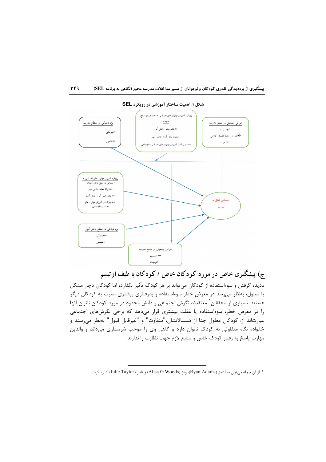

ج) پیشگیری خاص در مورد کودکان خاص / کودکان با طیف اوتیسم نادیده گرفتن و سوءاستفاده از کودکان میتواند بر هر کودک تأثیر بگذارد، اما کودکان دچار مشکل یا معلول، بهنظر میرسد در معرض خطر سوءاستفاده و بدرفتاری بیشتری نسبت به کودکان دیگر هستند. بسیاری از محققان <sup>۱</sup> معتقدند نگرش اجتماعی و دانش محدود در مورد کودکان ناتوان آنها را در معرض خطر، سوءاستفاده یا غفلت بیشتری قرار میدهد که برخی نگرشهای اجتماعی عبارتاند از: کودکان معلول جدا از همسالانشان،"متفاوت" و "غیرقابل قبول" بهنظر میرسند و خانواده نگاه متفاوتی به کودک ناتوان دارد و گاهی وی را موجب شرمساری میداند و والدین مهارت پاسخ به رفتار کودک خاص و منابع لازم جهت نظارت را ندارند.

١. از آن جمله ميتوان به آدامز (Ryan Adams)، ودز (Alisa G Woods) و تايلر (Julie Taylor) اشاره كرد.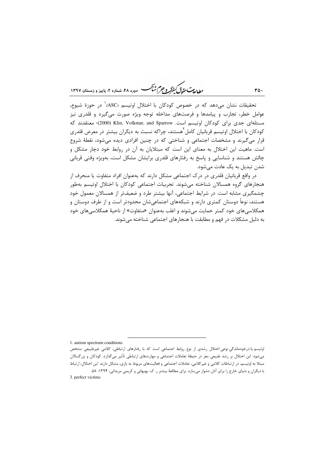ر .<br>مطالعات متحقق *کفوکر و جهم شنگ* دوره ۴۸، شعاره ۲، پاییز و زمستان ۱۳۹۷

تحقیقات نشان میدهد که در خصوص کودکان با اختلال اوتیسم (ASC)<sup>۱</sup> در حوزهٔ شیوع، عوامل خطر، تجارب و پیامدها و فرصتهای مداخله توجه ویژه صورت میگیرد و قلدری نیز مسئلهای جدی برای کودکان اوتیسم است. Klin, Volkmar, and Sparrow (2000) معتقدند که کودکان با اختلال اوتیسم قربانیان کامل<sup>آ</sup>هستند، چراکه نسبت به دیگران بیشتر در معرض قلدری قرار میگیرند و مشخصات اجتماعی و شناختی که در چنین افرادی دیده میشود، نقطهٔ شروع است. ماهیت این اختلال به معنای این است که مبتلایان به آن در روابط خود دچار مشکل و چالش هستند و شناسایی و پاسخ به رفتارهای قلدری برایشان مشکل است، بهویژه وقتی قربانی شدن تبدیل به یک عادت می شود.

در واقع قربانیان قلدری در درک اجتماعی مشکل دارند که بهعنوان افراد متفاوت یا منحرف از هنجارهای گروه همسالان شناخته می شوند. تجربیات اجتماعی کودکان با اختلال اوتیسم بهطور چشمگیری مشابه است. در شرایط اجتماعی، آنها بیشتر طرد و ضعیفتر از همسالان معمول خود هستند، نوعاً دوستان کمتری دارند و شبکههای اجتماعیشان محدودتر است و از طرف دوستان و همکلاسی@ای خود کمتر حمایت می شوند و اغلب بهعنوان «متفاوت» از ناحیهٔ همکلاسی@ای خود به دلیل مشکلات در فهم و مطابقت با هنجارهای احتماعی شناخته می شوند.

1. autism spectrum conditions

اوتیسم یا درخودماندگی نوعی اختلال رشدی از نوع روابط اجتماعی است که با رفتارهای ارتباطی، کلامی غیرطبیعی مشخص میشود. این اختلال بر رشد طبیعی مغز در حیطهٔ تعاملات اجتماعی و مهارتهای ارتباطی تأثیر میگذارد. کودکان و بزرگسالان مبتلا به اوتیسم، در ارتباطات کلامی و غیرکلامی، تعاملات اجتماعی و فعالیتهای مربوط به بازی، مشکل دارند. این اختلال، ارتباط با دیگران و دنیای خارج را برای آنان دشوار می سازد. برای مطالعهٔ بیشتر ر. ک: بهبهانی و کریمی مریدانی، ۱۳۹۴: ۵۸. 3. perfect victims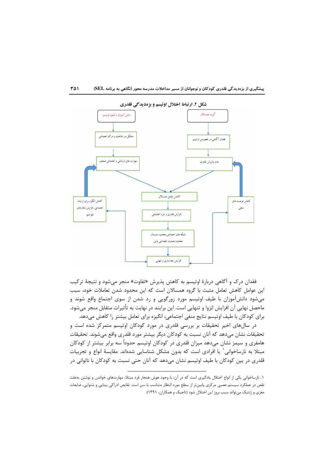

فقدان درک و آگاهی دربارهٔ اوتیسم به کاهش پذیرش «تفاوت» منجر میشود و نتیجهٔ ترکیب این عوامل کاهش تعامل مثبت با گروه همسالان است که این محدود شدن تعاملات خود، سبب میشود دانشآموزان با طیف اوتیسم مورد زورگویی و رد شدن از سوی اجتماع واقع شوند و ماحصل نهایی آن افزایش انزوا و تنهایی است. این برایند در نهایت به تأثیرات متقابل منجر میشود. برای کودکان با طیف اوتیسم نتایج منفی اجتماعی، انگیزه برای تعامل بیشتر را کاهش میدهد.

در سالهای اخیر تحقیقات بر بررسی قلدری در مورد کودکان اوتیسم متمرکز شده است و تحقيقات نشان مي<هد كه آنان نسبت به كودكان ديگر بيشتر مورد قلدري واقع ميشوند. تحقيقات هامفری و سیمز نشان میدهد میزان قلدری در کودکان اوتیسم حدوداً سه برابر بیشتر از کودکان مبتلا به نارساخوانی ْ یا افرادی است که بدون مشکل شناسایی شدهاند. مقایسهٔ انواع و تجربیات قلدری در بین کودکان با طیف اوتیسم نشان میدهد که آنان حتی نسبت به کودکان با ناتوانی در

۱. نارساخوانی یکی از انواع اختلال یادگیری است که در آن، با وجود هوش هنجار فرد مبتلا، مهارتهای خواندن و نوشتن بهعلت نقص در عملکرد سیستم عصبی مرکزی پایین تر از سطح مورد انتظار متناسب با سن است. نقایص ادراکی بینایی و شنوایی، ضایعات مغزی و ژنتیک میتواند سبب بروز این اختلال شود (تاجیک و همکاران، ۱۳۹۱).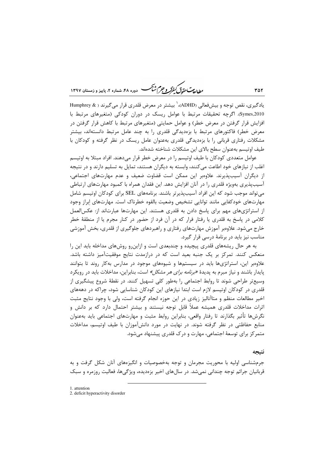ر ...<br>را دادست حقدتی کنفرگر و جرم شنگ هست دوره ۴۸، شهاره ۲، مامیز و ذمستان ۱۳۹۷

یادگیری، نقص توجه و بیشفعالی (ADHD)، ٰ بیشتر در معرض قلدری قرار می گیرند ( & Humphrey Symes,2010). اگرچه تحقیقات مرتبط با عوامل ریسک در دوران کودکی (متغیرهای مرتبط با افزایش قرار گرفتن در معرض خطر) و عوامل حمایتی (متغیرهای مرتبط با کاهش قرار گرفتن در معرض خطر) فاکتورهای مرتبط با بزهدیدگی قلدری را به چند عامل مرتبط دانستهاند، بیشتر مشکلات رفتاری قربانی را با بزهدیدگی قلدری بهعنوان عامل ریسک در نظر گرفته و کودکان با طيف اوتيسم بهعنوان سطح بالاي اين مشكلات شناخته شدهاند.

عوامل متعددی کودکان با طیف اوتیسم را در معرض خطر قرار میدهند. افراد مبتلا به اوتیسم اغلب از نیازهای خود اطاعت می کنند، وابسته به دیگران هستند، تمایل به تسلیم دارند و در نتیجه از دیگران آسیبپذیرند. علاوهبر این ممکن است قضاوت ضعیف و عدم مهارتهای اجتماعی، آسیب پذیری بهویژه قلدری را در آنان افزایش دهد. این فقدان همراه با کمبود مهارتهای ارتباطی می تواند موجب شود که این افراد آسیبپذیرتر باشند. برنامههای SEL برای کودکان اوتیسم شامل مهارتهای خودکفایی مانند توانایی تشخیص وضعیت بالقوه خطرناک است. مهارتهای ابراز وجود از استراتژیهای مهم برای پاسخ دادن به قلدری هستند. این مهارتها عبارتاند از: عکسالعمل کلامی در پاسخ به قلدری یا رفتار فرار که در آن فرد از حضور در کنار مجرم یا از منطقهٔ خطر خارج میشود. علاوهبر آموزش مهارتهای رفتاری و راهبردهای جلوگیری از قلدری، بخش آموزشی مناسب نیز باید در برنامهٔ درسی قرار گیرد.

به هر حال ریشههای قلدری پیچیده و چندبعدی است و ازاینرو روشهای مداخله باید این را منعکس کنند. تمرکز بر یک جنبه بعید است که در درازمدت نتایج موفقیتآمیز داشته باشد. علاوهبر این، استراتژیها باید در سیستمها و شیوههای موجود در مدارس بهکار روند تا بتوانند پایدار باشند و نیاز مبرم به پدیدهٔ *«برنامه برای هر مشکل»* است، بنابراین، مداخلات باید در رویکرد وسیع تر طراحی شوند تا روابط اجتماعی را بهطور کلی تسهیل کنند. در نقطهٔ شروع پیشگیری از قلدری در کودکان اوتیسم لازم است ابتدا نیازهای این کودکان شناسایی شود، چراکه در دهههای اخیر مطالعات منظم و متاآنالیز زیادی در این حوزه انجام گرفته است، ولی با وجود نتایج مثبت اثرات مداخلات قلدری همیشه عملاً قابل توجه نیستند و بیشتر احتمال دارد که بر دانش و نگرشها تأثير بگذارند تا رفتار واقعي، بنابراين روابط مثبت و مهارتهاي اجتماعي بايد بهعنوان منابع حفاظتی در نظر گرفته شوند. در نهایت در مورد دانشآموزان با طیف اوتیسم، مداخلات متمرکز برای توسعهٔ اجتماعی، مهارت و درک قلدری پیشنهاد می شود.

#### نتىحە

جرمشناسی اولیه با محوریت مجرمان و توجه بهخصوصیات و انگیزههای آنان شکل گرفت و به قربانیان جرائم توجه چندانی نمیشد. در سالهای اخیر بزهدیده، ویژگیها، فعالیت روزمره و سبک

1. attention

2. deficit hyperactivity disorder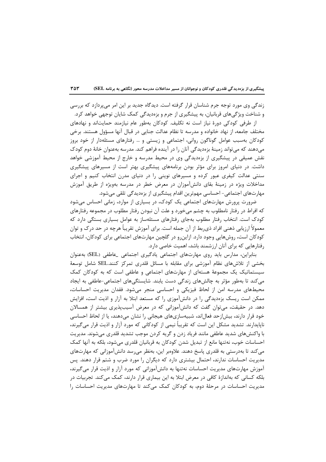زندگی وی مورد توجه جرم شناسان قرار گرفته است. دیدگاه جدید بر این امر می پردازد که بررسی و شناخت ویژگیهای قربانیان، به پیشگیری از جرم و بزهدیدگی کمک شایان توجهی خواهد کرد.

از طرفی کودکی دورهٔ نیاز است نه تکلیف. کودکان بهطور عام نیازمند حمایتاند و نهادهای مختلف جامعه، از نهاد خانواده و مدرسه تا نظام عدالت جنایی در قبال آنها مسؤول هستند. برخی کودکان بهسبب عوامل گوناگون روانی، اجتماعی و زیستی و … رفتارهای مسئلهدار از خود بروز میدهند که می تواند زمینهٔ بزهدیدگی آنان را در آینده فراهم کند. مدرسه بهعنوان خانهٔ دوم کودک نقش عمیقی در پیشگیری از بزهدیدگی وی در محیط مدرسه و خارج از محیط آموزشی خواهد داشت. در دنیای امروز برای مؤثر بودن برنامههای پیشگیری بهتر است از مسیرهای پیشگیری سنتی عدالت کیفری عبور کرده و مسیرهای نوینی را در دنیای مدرن انتخاب کنیم و اجرای مداخلات ویژه در زمینهٔ بقای دانشآموزان در معرض خطر در مدرسه بهویژه از طریق آموزش مهارتهای اجتماعی- احساسی مهمترین اقدام پیشگیری از بزهدیدگی تلقی می شود.

ضرورت پرورش مهارتهای اجتماعی یک کودک، در بسیاری از موارد، زمانی احساس می شود که افراط در رفتار نامطلوب به چشم میخورد و علت آن نبودن رفتار مطلوب در مجموعه رفتارهای کودک است. انتخاب رفتار مطلوب بهجای رفتارهای مسئلهساز به عوامل بسیاری بستگی دارد که معمولاً ارزیابی ذهنی افراد ذیربط از آن جمله است. برای آموزش تقریباً هرچه در حد درک و توان کودکان است، روشهایی وجود دارد. ازاین رو در گلچین مهارتهای اجتماعی برای کودکان، انتخاب رفتارهایی که برای آنان ارزشمند باشد، اهمیت خاصی دارد.

بنابراین، مدارس باید روی مهارتهای اجتماعی یادگیری اجتماعی \_عاطفی (SEL) بهعنوان بخشی از تلاشهای نظام آموزشی برای مقابله با مسائل قلدری تمرکز کنند.SEL شامل توسعهٔ سیستماتیک یک مجموعهٔ هستهای از مهارتهای اجتماعی و عاطفی است که به کودکان کمک می کند تا بهطور مؤثر به چالشهای زندگی دست پابند. شایستگیهای اجتماعی-عاطفی به ایجاد محیطهای مدرسه امن از لحاظ فیزیکی و احساسی منجر میشود. فقدان مدیریت احساسات، ممکن است ریسک بزهدیدگی را در دانشآموزی را که مستعد ابتلا به آزار و اذیت است، افزایش دهد. در حقیقت، میتوان گفت که دانشآموزانی که در معرض آسیبپذیری بیشتر از همسالان خود قرار دارند، بیش|زحد فعال|ند، شبیهسازیهای هیجانی را نشان میدهند، یا از لحاظ احساسی ناپایدارند. تشدید مشکل این است که تقریباً نیمی از کودکانی که مورد آزار و اذیت قرار می گیرند، با واکنش های شدید عاطفی مانند فریاد زدن و گریه کردن موجب تشدید قلدری می شوند. مدیریت احساسات خوب، نه تنها مانع از تبدیل شدن کودکان به قربانیان قلدری می شود، بلکه به آنها کمک می کند تا بهدرستی به قلدری پاسخ دهند. علاومبر این، بهنظر می رسد دانشآموزانی که مهارتهای مدیریت احساسات ندارند، احتمال بیشتری دارد که دیگران را مورد ضرب و شتم قرار دهند. پس آموزش مهارتهای مدیریت احساسات نهتنها به دانشآموزانی که مورد آزار و اذیت قرار میگیرند، بلکه کسانی که بهاندازهٔ کافی در معرض ابتلا به این بیماری قرار دارند، کمک میکند. تجربیات در مدیریت احساسات در مرحلهٔ دوم، به کودکان کمک میکند تا مهارتهای مدیریت احساسات را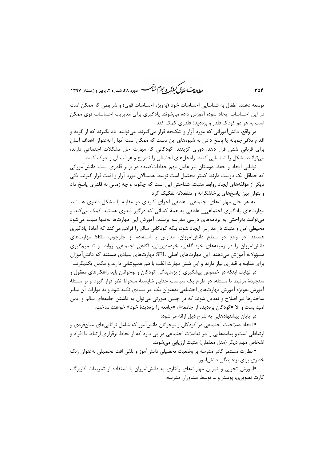ر<br>مط*ال*ی تحقی*ق گفتر و جرم شنگ* دوره ۴۸، شعاره ۲، مامیز و زمستان ۱۳۹۷

توسعه دهند. اطفال به شناسایی احساسات خود (بهویژه احساسات قوی) و شرایطی که ممکن است در این احساسات ایجاد شود، آموزش داده میشوند. یادگیری برای مدیریت احساسات قوی ممکن است به هر دو کودک قلدر و بزهدیدهٔ قلدری کمک کند.

در واقع، دانش آموزانی که مورد آزار و شکنجه قرار می گیرند، می توانند یاد بگیرند که از گریه و اقدام تلافیِ جویانه یا پاسخ دادن به شیوههای این دست که ممکن است آنها را بهعنوان اهداف آسان برای قربانی شدن قرار دهد، دوری گزینند. کودکانی که مهارت حل مشکلات اجتماعی دارند، می توانند مشکل را شناسایی کنند، راهحلهای احتمالی را تشریح و عواقب آن را در ک کنند.

توانایی ایجاد و حفظ دوستان نیز عامل مهم حفاظتکننده در برابر قلدری است. دانش آموزانی که حداقل یک دوست دارند، کمتر محتمل است توسط همسالان مورد آزار و اذیت قرار گیرند. یکی دیگر از مؤلفههای ایجاد روابط مثبت، شناختن این است که چگونه و چه زمانی به قلدری پاسخ داد و بتوان بین پاسخهای پرخاشگرانه و منفعلانه تفکیک کرد.

به هر حال مهارتهای اجتماعی- عاطفی اجزای کلیدی در مقابله با مشکل قلدری هستند. مهارتهای یادگیری اجتماعی ِ عاطفی به همهٔ کسانی که درگیر قلدری هستند کمک می کند و مے توانند به احتی به برنامههای درسی مدرسه برسند. آموزش این مهارتها نهتنها سبب می شود محیطی امن و مثبت در مدارس ایجاد شود، بلکه کودکانی سالم را فراهم میکند که آمادهٔ یادگیری هستند. در واقع در سطح دانش آموزان، مدارس با استفاده از چارچوب SEL مهارتهای دانشآموزان را در زمینههای خودآگاهی، خودمدیریتی، آگاهی اجتماعی، روابط و تصمیمگیری مسؤولانه آموزش میدهند. این مهارتهای اصلی SEL مهارتهای بنیادی هستند که دانشآموزان برای مقابله با قلدری نیاز دارند و این شش مهارت اغلب با هم همپوشانی دارند و مکمل یکدیگرند.

در نهایت اینکه در خصوص پیشگیری از بزهدیدگی کودکان و نوجوانان باید راهکارهای معقول و سنجیدهٔ مرتبط با مسئله، در طرح یک سیاست جنایی شایستهٔ ملحوظ نظر قرار گیرد و بر مسئلهٔ آموزش بهویژه آموزش مهارتهای اجتماعی بهعنوان یک امر بنیادی تکیه شود و به موازات آن سایر ساختارها نیز اصلاح و تعدیل شوند که در چنین صورتی می توان به داشتن جامعهای سالم و ایمن امید بست و الا «کودکان بزهدیده از جامعه»، «جامعه را بزهدیدهٔ خود» خواهند ساخت.

در پایان پیشنهادهایی به شرح ذیل ارائه می شود:

• ایجاد صلاحیت اجتماعی در کودکان و نوجوانان دانشآموز که شامل تواناییهای میانفردی و ارتباطی است و پیامدهایی را در تعاملات اجتماعی در یی دارد که از لحاظ برقراری ارتباط با افراد و اشخاص مهم دیگر (مثل معلمان) مثبت ارزیابی میشوند.

• نظارت مستمر كادر مدرسه بر وضعيت تحصيلي دانشآموز و تلقى افت تحصيلى بهعنوان زنگ خطری برای بزهدیدگی دانشآموز.

•آموزش تجربی و تمرین مهارتهای رفتاری به دانشآموزان با استفاده از تمرینات کاربرگ، کارت تصویری، پوستر و … توسط مشاوران مدرسه.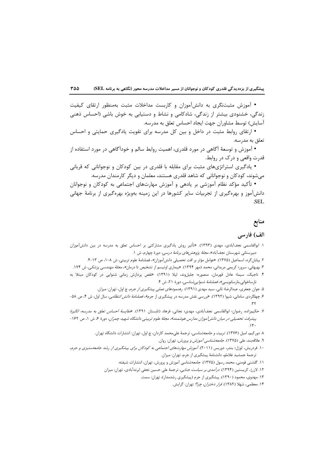• آموزش مثبتنگری به دانشآموزان و کاربست مداخلات مثبت بهمنظور ارتقای کیفیت زندگی، خشنودی بیشتر از زندگی، شادکامی و نشاط و دستیابی به خوش باشی (احساس ذهنی آسایش) توسط مشاوران جهت ایجاد احساس تعلق به مدرسه.

• ارتقای روابط مثبت در داخل و بین کل مدرسه برای تقویت یادگیری حمایتی و احساس تعلق به مدرسه.

• آموزش و توسعهٔ آگاهی در مورد قلدری، اهمیت روابط سالم و خودآگاهی در مورد استفاده از قدرت واقعی و در ک در روابط.

• پادگیری استراتژیهای مثبت برای مقابله با قلدری در بین کودکان و نوجوانانی که قربانی میشوند، کودکان و نوجوانانی که شاهد قلدری هستند، معلمان و دیگر کارمندان مدرسه.

• تأکید مؤکد نظام آموزشی بر یادهی و آموزش مهارتهای اجتماعی به کودکان و نوجوانان دانشآموز و بهرهگیری از تجربیات سایر کشورها در این زمینه بهویژه بهرهگیری از برنامهٔ جهانی SEL.

# منابع

### الف) فارسی

- ۱. ابوالقاسمی نجفآبادی، مهدی (۱۳۹۳). «تأثیر روش یادگیری مشارکتی بر احساس تعلق به مدرسه در بین دانشآموزان دبیرستانی شهرستان نجفآباد»، *مجلهٔ پژوهشهای برنامهٔ درسی،* دورهٔ چهارم، ش ۱.
	- ٢. بيابان گرد، اسماعيل (١٣٧۵). «عوامل مؤثر بر افت تحصيلي دانش[موزان»، فصلنامهٔ علوم تربيتي، ش ١٠٨، ص ١٣-۴.
- ۳. بهبهانی، سرور؛ کریمی مریدانی، محمد (مهر ۱۳۹۴). «بیماری اوتیسم از تشخیص تا درمان*»، مجلهٔ مهندسی پزشکی*، ش ۱۷۴.
- ۴. تاجیک، سیما؛ عادل قهرمان، منصوره؛ جلیلوند، لیلا (۱۳۹۱). «نقص پردازش زمانی شنوایی در کودکان مبتلا به نارساخوانى خارسانويسى»، *فصلنامة شنوايى شناسى*، دورة ٢١، ش ۴.
	- ۵. جوان جعفری، عبدالرضا؛ ثانی، سید مهدی (۱۳۹۱). *رهنمودهای عملی پیشگیری از جرم*، چ اول، تهران: میزان.
- ۶. چهلگردی سامانی، شیوا (۱۳۹۲). «بررسی نقش مدرسه در پیشگیری از جرم*»، فصلنامهٔ دانش انتظامی،* سال اول، ش ۴، ص ۵۸-
- ٧. حكيم<sub>ا</sub>:اده، رضوان؛ ابوالقاسمي نجفآبادي، مهدي؛ نجاتي، فرهاد (تابستان ١٣٩١). *«مقايسة احساس تعلق به مدرسه، انگيزة* پیشرفت تحصیلی در میان دانش آموزان مدارس هوشمند»، مجلهٔ علوم تربیتی دانشگاه شهید چمران، دورهٔ ۶، ش ۱، ص ۱۶۲ -
	- ٨. دوركيم، اميل (١٣٧۶). *تربيت و جامعهشناسي*، ترجمة علىمحمد كاردان، چ اول، تهران: انتشارات دانشگاه تهران.
		- ۹. علاقهبند، علي (١٣٧۵). *جامعهشناسي آموزش و پرورش،* تهران: روان.
- ۱۰. فردریش، لوزل؛ بندر، دوریس (۲۰۱۱). *آموزش مهارتهای اجتماعی به کودکان برای پیشگیری از رشد جامعهستیزی و جرم*، ترجمة جمشيد غلاملو، دانشنامة پيشگيري از جرم، تهران: ميزان.
	- ۱۱. گلشنی فومنی، محمد رسول (۱۳۷۵). جامعهشناسی آموزش و پرورش، تهران، انتشارات شیفته.
	- ۱۲. لازرژ، کریستین (۱۳۹۴). *درآمدی بر سیاست جنایی*، ترجمهٔ علی حسین نجفی ابرندآبادی، تهران: میزان
		- ۱۳. مهدوی، محمود (۱۳۹۰). پیشگیری از جرم (پیشگیری رشدمدار)، تهران: سمت.
			- ۱۴. معظمی، شهلا (۱۳۸۲). *فرار دختران، چرا؟* تهران: گرایش.